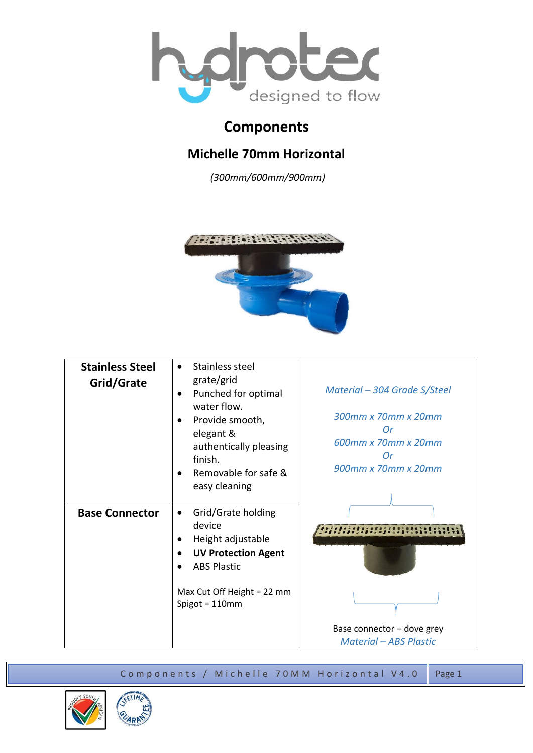

## **Components**

## **Michelle 70mm Horizontal**

*(300mm/600mm/900mm)*



| <b>Stainless Steel</b><br>Grid/Grate | Stainless steel<br>$\bullet$<br>grate/grid<br>Punched for optimal<br>water flow.<br>Provide smooth,<br>elegant &<br>authentically pleasing<br>finish.<br>Removable for safe &<br>easy cleaning | Material – 304 Grade S/Steel<br>300mm x 70mm x 20mm<br>Or<br>600mm x 70mm x 20mm<br>Or<br>900mm x 70mm x 20mm |
|--------------------------------------|------------------------------------------------------------------------------------------------------------------------------------------------------------------------------------------------|---------------------------------------------------------------------------------------------------------------|
| <b>Base Connector</b>                | Grid/Grate holding<br>$\bullet$<br>device<br>Height adjustable<br><b>UV Protection Agent</b><br><b>ABS Plastic</b><br>Max Cut Off Height = 22 mm<br>Spigot = $110$ mm                          | Base connector - dove grey<br><b>Material - ABS Plastic</b>                                                   |

Components / Michelle 70MM Horizontal V4.0 Page 1